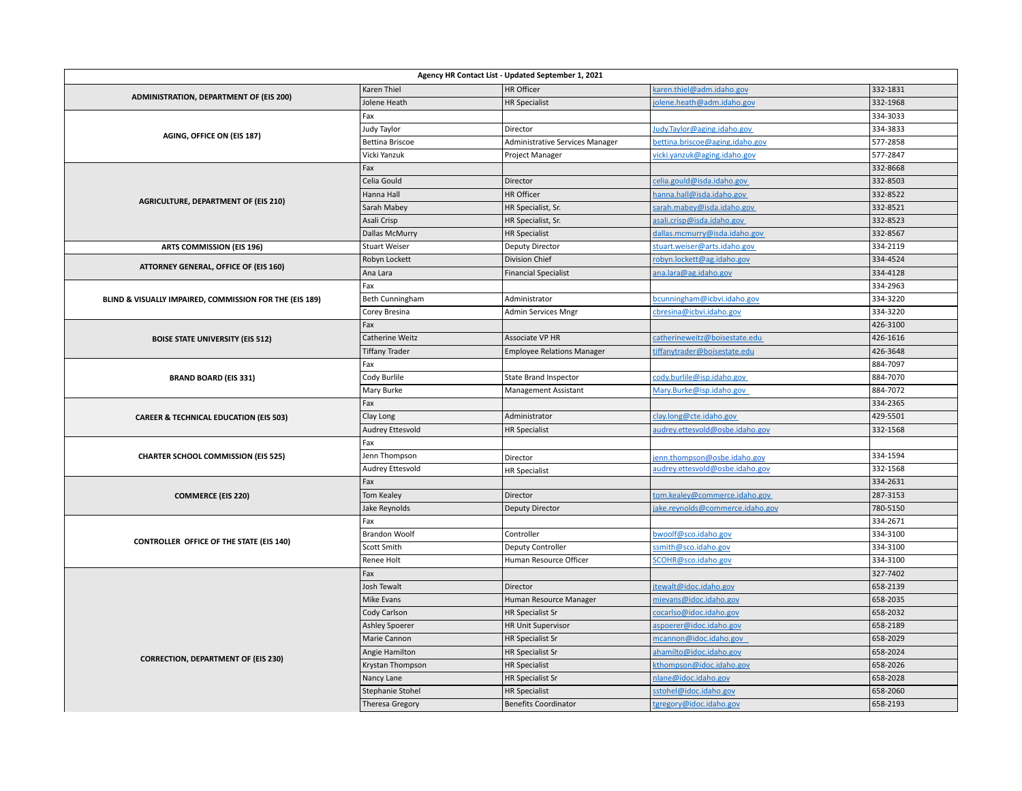| Agency HR Contact List - Updated September 1, 2021      |                        |                                   |                                 |          |  |  |
|---------------------------------------------------------|------------------------|-----------------------------------|---------------------------------|----------|--|--|
|                                                         | Karen Thiel            | HR Officer                        | karen.thiel@adm.idaho.gov       | 332-1831 |  |  |
| ADMINISTRATION, DEPARTMENT OF (EIS 200)                 | Jolene Heath           | <b>HR Specialist</b>              | jolene.heath@adm.idaho.gov      | 332-1968 |  |  |
|                                                         | Fax                    |                                   |                                 | 334-3033 |  |  |
|                                                         | Judy Taylor            | Director                          | Judy.Taylor@aging.idaho.gov     | 334-3833 |  |  |
| AGING, OFFICE ON (EIS 187)                              | <b>Bettina Briscoe</b> | Administrative Services Manager   | bettina.briscoe@aging.idaho.gov | 577-2858 |  |  |
|                                                         | Vicki Yanzuk           | Project Manager                   | vicki.yanzuk@aging.idaho.gov    | 577-2847 |  |  |
|                                                         | Fax                    |                                   |                                 | 332-8668 |  |  |
|                                                         | Celia Gould            | Director                          | celia.gould@isda.idaho.gov      | 332-8503 |  |  |
|                                                         | Hanna Hall             | HR Officer                        | hanna.hall@isda.idaho.gov       | 332-8522 |  |  |
| <b>AGRICULTURE, DEPARTMENT OF (EIS 210)</b>             | Sarah Mabey            | HR Specialist, Sr.                | sarah.mabey@isda.idaho.gov      | 332-8521 |  |  |
|                                                         | Asali Crisp            | HR Specialist, Sr.                | asali.crisp@isda.idaho.gov      | 332-8523 |  |  |
|                                                         | <b>Dallas McMurry</b>  | <b>HR Specialist</b>              | dallas.mcmurry@isda.idaho.gov   | 332-8567 |  |  |
| <b>ARTS COMMISSION (EIS 196)</b>                        | <b>Stuart Weiser</b>   | <b>Deputy Director</b>            | stuart.weiser@arts.idaho.gov    | 334-2119 |  |  |
|                                                         | Robyn Lockett          | <b>Division Chief</b>             | robyn.lockett@ag.idaho.gov      | 334-4524 |  |  |
| ATTORNEY GENERAL, OFFICE OF (EIS 160)                   | Ana Lara               | <b>Financial Specialist</b>       | ana.lara@ag.idaho.gov           | 334-4128 |  |  |
|                                                         | Fax                    |                                   |                                 | 334-2963 |  |  |
| BLIND & VISUALLY IMPAIRED, COMMISSION FOR THE (EIS 189) | Beth Cunningham        | Administrator                     | bcunningham@icbvi.idaho.gov     | 334-3220 |  |  |
|                                                         | Corey Bresina          | Admin Services Mngr               | cbresina@icbvi.idaho.gov        | 334-3220 |  |  |
|                                                         | Fax                    |                                   |                                 | 426-3100 |  |  |
| <b>BOISE STATE UNIVERSITY (EIS 512)</b>                 | Catherine Weitz        | Associate VP HR                   | catherineweitz@boisestate.edu   | 426-1616 |  |  |
|                                                         | <b>Tiffany Trader</b>  | <b>Employee Relations Manager</b> | tiffanytrader@boisestate.edu    | 426-3648 |  |  |
|                                                         | Fax                    |                                   |                                 | 884-7097 |  |  |
| <b>BRAND BOARD (EIS 331)</b>                            | Cody Burlile           | State Brand Inspector             | cody.burlile@isp.idaho.gov      | 884-7070 |  |  |
|                                                         | Mary Burke             | Management Assistant              | Mary.Burke@isp.idaho.gov        | 884-7072 |  |  |
|                                                         | Fax                    |                                   |                                 | 334-2365 |  |  |
| <b>CAREER &amp; TECHNICAL EDUCATION (EIS 503)</b>       | Clay Long              | Administrator                     | clay.long@cte.idaho.gov         | 429-5501 |  |  |
|                                                         | Audrey Ettesvold       | <b>HR Specialist</b>              | audrey.ettesvold@osbe.idaho.gov | 332-1568 |  |  |
|                                                         | Fax                    |                                   |                                 |          |  |  |
| <b>CHARTER SCHOOL COMMISSION (EIS 525)</b>              | Jenn Thompson          | Director                          | enn.thompson@osbe.idaho.gov     | 334-1594 |  |  |
|                                                         | Audrey Ettesvold       | <b>HR Specialist</b>              | audrey.ettesvold@osbe.idaho.gov | 332-1568 |  |  |
|                                                         | Fax                    |                                   |                                 | 334-2631 |  |  |
| <b>COMMERCE (EIS 220)</b>                               | Tom Kealey             | Director                          | tom.kealey@commerce.idaho.gov   | 287-3153 |  |  |
|                                                         | Jake Reynolds          | <b>Deputy Director</b>            | ake.reynolds@commerce.idaho.gov | 780-5150 |  |  |
| <b>CONTROLLER OFFICE OF THE STATE (EIS 140)</b>         | Fax                    |                                   |                                 | 334-2671 |  |  |
|                                                         | <b>Brandon Woolf</b>   | Controller                        | bwoolf@sco.idaho.gov            | 334-3100 |  |  |
|                                                         | Scott Smith            | Deputy Controller                 | ssmith@sco.idaho.gov            | 334-3100 |  |  |
|                                                         | Renee Holt             | Human Resource Officer            | SCOHR@sco.idaho.gov             | 334-3100 |  |  |
|                                                         | Fax                    |                                   |                                 | 327-7402 |  |  |
|                                                         | Josh Tewalt            | Director                          | jtewalt@idoc.idaho.gov          | 658-2139 |  |  |
|                                                         | Mike Evans             | Human Resource Manager            | mievans@idoc.idaho.gov          | 658-2035 |  |  |
|                                                         | Cody Carlson           | <b>HR Specialist Sr</b>           | cocarlso@idoc.idaho.gov         | 658-2032 |  |  |
|                                                         | Ashley Spoerer         | <b>HR Unit Supervisor</b>         | aspoerer@idoc.idaho.gov         | 658-2189 |  |  |
|                                                         | Marie Cannon           | <b>HR Specialist Sr</b>           | mcannon@idoc.idaho.gov          | 658-2029 |  |  |
| <b>CORRECTION, DEPARTMENT OF (EIS 230)</b>              | Angie Hamilton         | <b>HR Specialist Sr</b>           | ahamilto@idoc.idaho.gov         | 658-2024 |  |  |
|                                                         | Krystan Thompson       | <b>HR Specialist</b>              | kthompson@idoc.idaho.gov        | 658-2026 |  |  |
|                                                         | Nancy Lane             | <b>HR Specialist Sr</b>           | nlane@idoc.idaho.gov            | 658-2028 |  |  |
|                                                         | Stephanie Stohel       | <b>HR Specialist</b>              | sstohel@idoc.idaho.gov          | 658-2060 |  |  |
|                                                         | Theresa Gregory        | <b>Benefits Coordinator</b>       | tgregory@idoc.idaho.gov         | 658-2193 |  |  |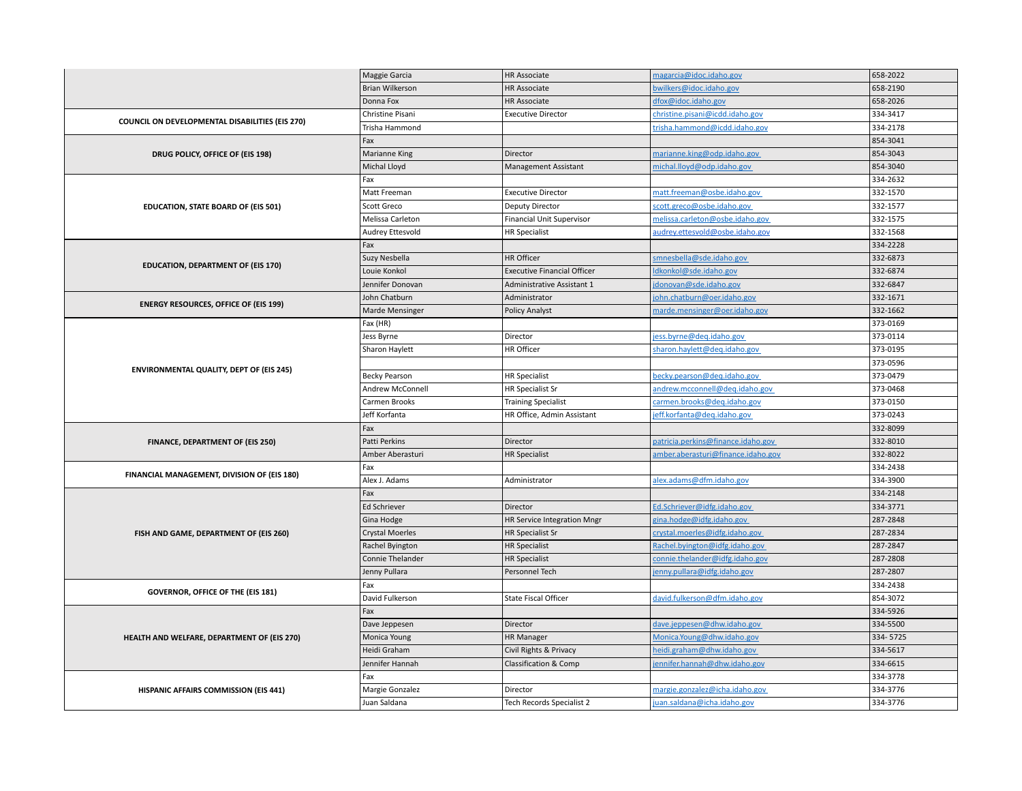|                                                                                 | Maggie Garcia          | <b>HR Associate</b>                | magarcia@idoc.idaho.gov            | 658-2022 |
|---------------------------------------------------------------------------------|------------------------|------------------------------------|------------------------------------|----------|
|                                                                                 | <b>Brian Wilkerson</b> | <b>HR Associate</b>                | bwilkers@idoc.idaho.gov            | 658-2190 |
|                                                                                 | Donna Fox              | HR Associate                       | dfox@idoc.idaho.gov                | 658-2026 |
|                                                                                 | Christine Pisani       | <b>Executive Director</b>          | christine.pisani@icdd.idaho.gov    | 334-3417 |
| COUNCIL ON DEVELOPMENTAL DISABILITIES (EIS 270)                                 | Trisha Hammond         |                                    | trisha.hammond@icdd.idaho.gov      | 334-2178 |
|                                                                                 | Fax                    |                                    |                                    | 854-3041 |
| DRUG POLICY, OFFICE OF (EIS 198)                                                | Marianne King          | Director                           | marianne.king@odp.idaho.gov        | 854-3043 |
|                                                                                 | Michal Lloyd           | Management Assistant               | michal.lloyd@odp.idaho.gov         | 854-3040 |
|                                                                                 | Fax                    |                                    |                                    | 334-2632 |
| EDUCATION, STATE BOARD OF (EIS 501)                                             | Matt Freeman           | <b>Executive Director</b>          | matt.freeman@osbe.idaho.gov        | 332-1570 |
|                                                                                 | Scott Greco            | <b>Deputy Director</b>             | scott.greco@osbe.idaho.gov         | 332-1577 |
|                                                                                 | Melissa Carleton       | <b>Financial Unit Supervisor</b>   | melissa.carleton@osbe.idaho.gov    | 332-1575 |
|                                                                                 | Audrey Ettesvold       | <b>HR Specialist</b>               | audrey.ettesvold@osbe.idaho.gov    | 332-1568 |
|                                                                                 | Fax                    |                                    |                                    | 334-2228 |
|                                                                                 | Suzy Nesbella          | HR Officer                         | smnesbella@sde.idaho.gov           | 332-6873 |
| <b>EDUCATION, DEPARTMENT OF (EIS 170)</b>                                       | Louie Konkol           | <b>Executive Financial Officer</b> | Idkonkol@sde.idaho.gov             | 332-6874 |
|                                                                                 | Jennifer Donovan       | <b>Administrative Assistant 1</b>  | jdonovan@sde.idaho.gov             | 332-6847 |
|                                                                                 | John Chatburn          | Administrator                      | john.chatburn@oer.idaho.gov        | 332-1671 |
| <b>ENERGY RESOURCES, OFFICE OF (EIS 199)</b>                                    | Marde Mensinger        | <b>Policy Analyst</b>              | marde.mensinger@oer.idaho.gov      | 332-1662 |
|                                                                                 | Fax (HR)               |                                    |                                    | 373-0169 |
|                                                                                 | Jess Byrne             | Director                           | jess.byrne@deq.idaho.gov           | 373-0114 |
|                                                                                 | Sharon Haylett         | HR Officer                         | sharon.haylett@deq.idaho.gov       | 373-0195 |
| <b>ENVIRONMENTAL QUALITY, DEPT OF (EIS 245)</b>                                 |                        |                                    |                                    | 373-0596 |
|                                                                                 | <b>Becky Pearson</b>   | <b>HR Specialist</b>               | becky.pearson@deq.idaho.gov        | 373-0479 |
|                                                                                 | Andrew McConnell       | <b>HR Specialist Sr</b>            | andrew.mcconnell@deq.idaho.gov     | 373-0468 |
|                                                                                 | Carmen Brooks          | <b>Training Specialist</b>         | carmen.brooks@deq.idaho.gov        | 373-0150 |
|                                                                                 | Jeff Korfanta          | HR Office, Admin Assistant         | jeff.korfanta@deg.idaho.gov        | 373-0243 |
|                                                                                 | Fax                    |                                    |                                    | 332-8099 |
| FINANCE, DEPARTMENT OF (EIS 250)<br>FINANCIAL MANAGEMENT, DIVISION OF (EIS 180) | Patti Perkins          | Director                           | patricia.perkins@finance.idaho.gov | 332-8010 |
|                                                                                 | Amber Aberasturi       | <b>HR Specialist</b>               | amber.aberasturi@finance.idaho.gov | 332-8022 |
|                                                                                 | Fax                    |                                    |                                    | 334-2438 |
|                                                                                 | Alex J. Adams          | Administrator                      | alex.adams@dfm.idaho.gov           | 334-3900 |
|                                                                                 | Fax                    |                                    |                                    | 334-2148 |
|                                                                                 | Ed Schriever           | Director                           | Ed.Schriever@idfg.idaho.gov        | 334-3771 |
|                                                                                 | Gina Hodge             | HR Service Integration Mngr        | gina.hodge@idfg.idaho.gov          | 287-2848 |
| FISH AND GAME, DEPARTMENT OF (EIS 260)                                          | <b>Crystal Moerles</b> | <b>HR Specialist Sr</b>            | crystal.moerles@idfg.idaho.gov     | 287-2834 |
|                                                                                 | Rachel Byington        | <b>HR Specialist</b>               | Rachel.byington@idfg.idaho.gov     | 287-2847 |
|                                                                                 | Connie Thelander       | <b>HR Specialist</b>               | connie.thelander@idfg.idaho.gov    | 287-2808 |
|                                                                                 | Jenny Pullara          | Personnel Tech                     | enny.pullara@idfg.idaho.gov        | 287-2807 |
| GOVERNOR, OFFICE OF THE (EIS 181)                                               | Fax                    |                                    |                                    | 334-2438 |
|                                                                                 | David Fulkerson        | <b>State Fiscal Officer</b>        | david.fulkerson@dfm.idaho.gov      | 854-3072 |
|                                                                                 | Fax                    |                                    |                                    | 334-5926 |
| HEALTH AND WELFARE, DEPARTMENT OF (EIS 270)                                     | Dave Jeppesen          | Director                           | dave.jeppesen@dhw.idaho.gov        | 334-5500 |
|                                                                                 | Monica Young           | <b>HR Manager</b>                  | Monica.Young@dhw.idaho.gov         | 334-5725 |
|                                                                                 | Heidi Graham           | Civil Rights & Privacy             | heidi.graham@dhw.idaho.gov         | 334-5617 |
|                                                                                 | Jennifer Hannah        | <b>Classification &amp; Comp</b>   | ennifer.hannah@dhw.idaho.gov       | 334-6615 |
|                                                                                 | Fax                    |                                    |                                    | 334-3778 |
| HISPANIC AFFAIRS COMMISSION (EIS 441)                                           | Margie Gonzalez        | Director                           | margie.gonzalez@icha.idaho.gov     | 334-3776 |
|                                                                                 | Juan Saldana           | Tech Records Specialist 2          | juan.saldana@icha.idaho.gov        | 334-3776 |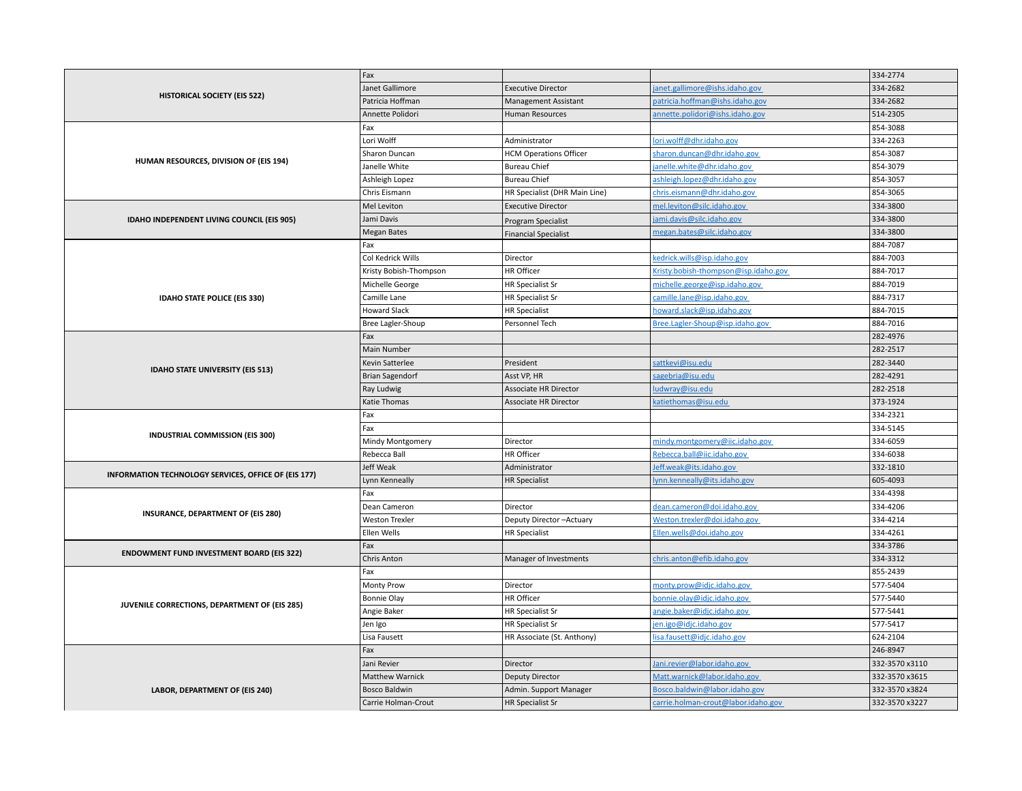|                                               | <b>HISTORICAL SOCIETY (EIS 522)</b>                  | Fax                     |                               |                                      | 334-2774       |
|-----------------------------------------------|------------------------------------------------------|-------------------------|-------------------------------|--------------------------------------|----------------|
|                                               |                                                      | Janet Gallimore         | <b>Executive Director</b>     | anet.gallimore@ishs.idaho.gov        | 334-2682       |
|                                               |                                                      | Patricia Hoffman        | <b>Management Assistant</b>   | patricia.hoffman@ishs.idaho.gov      | 334-2682       |
|                                               |                                                      | Annette Polidori        | Human Resources               | annette.polidori@ishs.idaho.gov      | 514-2305       |
|                                               |                                                      | Fax                     |                               |                                      | 854-3088       |
|                                               |                                                      | Lori Wolff              | Administrator                 | lori.wolff@dhr.idaho.gov             | 334-2263       |
|                                               |                                                      | Sharon Duncan           | <b>HCM Operations Officer</b> | sharon.duncan@dhr.idaho.gov          | 854-3087       |
|                                               | HUMAN RESOURCES, DIVISION OF (EIS 194)               | Janelle White           | <b>Bureau Chief</b>           | janelle.white@dhr.idaho.gov          | 854-3079       |
|                                               |                                                      | Ashleigh Lopez          | <b>Bureau Chief</b>           | ashleigh.lopez@dhr.idaho.gov         | 854-3057       |
|                                               |                                                      | Chris Eismann           | HR Specialist (DHR Main Line) | chris.eismann@dhr.idaho.gov          | 854-3065       |
|                                               |                                                      | Mel Leviton             | <b>Executive Director</b>     | mel.leviton@silc.idaho.gov           | 334-3800       |
|                                               | IDAHO INDEPENDENT LIVING COUNCIL (EIS 905)           | Jami Davis              | Program Specialist            | jami.davis@silc.idaho.gov            | 334-3800       |
|                                               |                                                      | <b>Megan Bates</b>      | <b>Financial Specialist</b>   | megan.bates@silc.idaho.gov           | 334-3800       |
|                                               |                                                      | Fax                     |                               |                                      | 884-7087       |
|                                               |                                                      | Col Kedrick Wills       | Director                      | kedrick.wills@isp.idaho.gov          | 884-7003       |
|                                               |                                                      | Kristy Bobish-Thompson  | HR Officer                    | Kristy.bobish-thompson@isp.idaho.gov | 884-7017       |
|                                               |                                                      | Michelle George         | <b>HR Specialist Sr</b>       | michelle.george@isp.idaho.gov        | 884-7019       |
|                                               | IDAHO STATE POLICE (EIS 330)                         | Camille Lane            | <b>HR Specialist Sr</b>       | camille.lane@isp.idaho.gov           | 884-7317       |
|                                               |                                                      | <b>Howard Slack</b>     | <b>HR Specialist</b>          | howard.slack@isp.idaho.gov           | 884-7015       |
|                                               |                                                      | Bree Lagler-Shoup       | Personnel Tech                | Bree.Lagler-Shoup@isp.idaho.gov      | 884-7016       |
|                                               |                                                      | Fax                     |                               |                                      | 282-4976       |
|                                               |                                                      | Main Number             |                               |                                      | 282-2517       |
|                                               |                                                      | Kevin Satterlee         | President                     | sattkevi@isu.edu                     | 282-3440       |
|                                               | <b>IDAHO STATE UNIVERSITY (EIS 513)</b>              | <b>Brian Sagendorf</b>  | Asst VP, HR                   | sagebria@isu.edu                     | 282-4291       |
|                                               |                                                      | Ray Ludwig              | Associate HR Director         | ludwray@isu.edu                      | 282-2518       |
|                                               |                                                      | <b>Katie Thomas</b>     | <b>Associate HR Director</b>  | katiethomas@isu.edu                  | 373-1924       |
|                                               |                                                      | Fax                     |                               |                                      | 334-2321       |
|                                               |                                                      | Fax                     |                               |                                      | 334-5145       |
|                                               | INDUSTRIAL COMMISSION (EIS 300)                      | Mindy Montgomery        | Director                      | mindy.montgomery@iic.idaho.gov       | 334-6059       |
|                                               |                                                      | Rebecca Ball            | <b>HR Officer</b>             | Rebecca.ball@iic.idaho.gov           | 334-6038       |
|                                               |                                                      | Jeff Weak               | Administrator                 | leff.weak@its.idaho.gov              | 332-1810       |
|                                               | INFORMATION TECHNOLOGY SERVICES, OFFICE OF (EIS 177) | Lynn Kenneally          | <b>HR Specialist</b>          | lynn.kenneally@its.idaho.gov         | 605-4093       |
|                                               |                                                      | Fax                     |                               |                                      | 334-4398       |
|                                               |                                                      | Dean Cameron            | Director                      | dean.cameron@doi.idaho.gov           | 334-4206       |
|                                               | <b>INSURANCE, DEPARTMENT OF (EIS 280)</b>            | <b>Weston Trexler</b>   | Deputy Director-Actuary       | Weston.trexler@doi.idaho.gov         | 334-4214       |
|                                               |                                                      | Ellen Wells             | <b>HR Specialist</b>          | Ellen.wells@doi.idaho.gov            | 334-4261       |
|                                               |                                                      | Fax                     |                               |                                      | 334-3786       |
|                                               | <b>ENDOWMENT FUND INVESTMENT BOARD (EIS 322)</b>     | Chris Anton             | Manager of Investments        | chris.anton@efib.idaho.gov           | 334-3312       |
|                                               |                                                      | Fax                     |                               |                                      | 855-2439       |
| JUVENILE CORRECTIONS, DEPARTMENT OF (EIS 285) |                                                      | <b>Monty Prow</b>       | Director                      | monty.prow@idjc.idaho.gov            | 577-5404       |
|                                               |                                                      | <b>Bonnie Olay</b>      | HR Officer                    | oonnie.olay@idjc.idaho.gov           | 577-5440       |
|                                               | Angie Baker                                          | <b>HR Specialist Sr</b> | angie.baker@idjc.idaho.gov    | 577-5441                             |                |
|                                               |                                                      | Jen Igo                 | <b>HR Specialist Sr</b>       | en.igo@idjc.idaho.gov                | 577-5417       |
|                                               |                                                      | Lisa Fausett            | HR Associate (St. Anthony)    | isa.fausett@idjc.idaho.gov           | 624-2104       |
|                                               |                                                      | Fax                     |                               |                                      | 246-8947       |
|                                               |                                                      | Jani Revier             | Director                      | Jani.revier@labor.idaho.gov          | 332-3570 x3110 |
| LABOR, DEPARTMENT OF (EIS 240)                |                                                      | Matthew Warnick         | <b>Deputy Director</b>        | Matt.warnick@labor.idaho.gov         | 332-3570 x3615 |
|                                               |                                                      | <b>Bosco Baldwin</b>    | Admin. Support Manager        | Bosco.baldwin@labor.idaho.gov        | 332-3570 x3824 |
|                                               |                                                      | Carrie Holman-Crout     | <b>HR Specialist Sr</b>       | carrie.holman-crout@labor.idaho.gov  | 332-3570 x3227 |
|                                               |                                                      |                         |                               |                                      |                |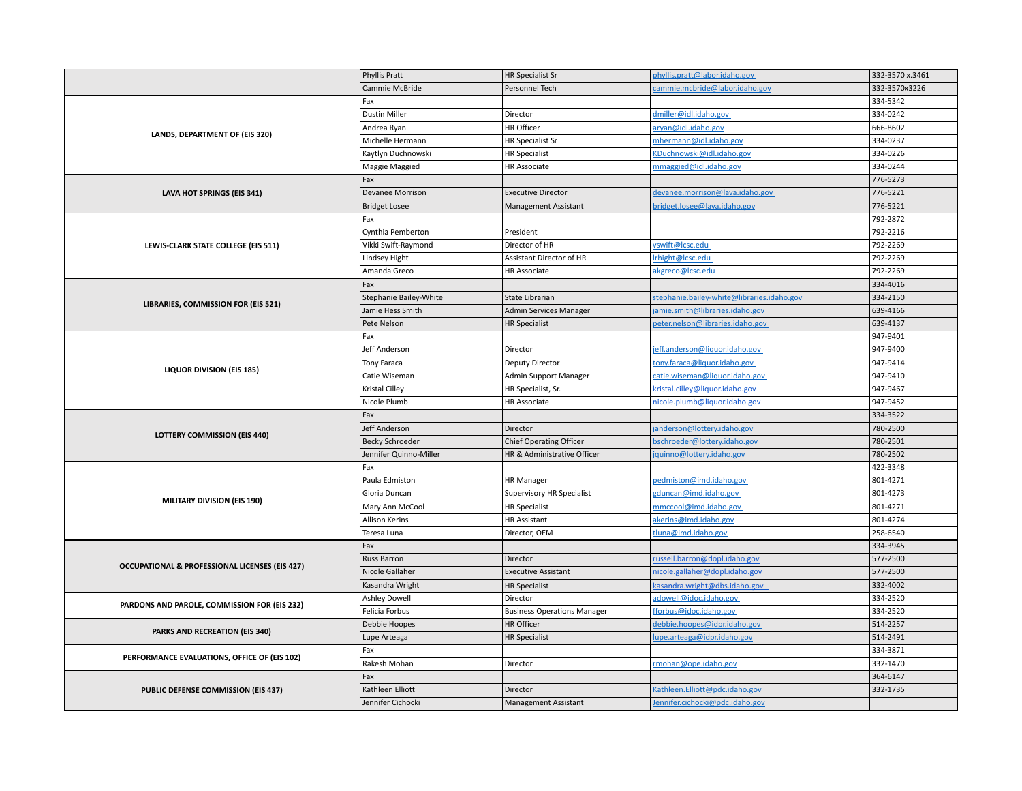|                                                           | Phyllis Pratt          | <b>HR Specialist Sr</b>            | phyllis.pratt@labor.idaho.gov              | 332-3570 x.3461      |
|-----------------------------------------------------------|------------------------|------------------------------------|--------------------------------------------|----------------------|
|                                                           | Cammie McBride         | Personnel Tech                     | cammie.mcbride@labor.idaho.gov             | 332-3570x3226        |
|                                                           | Fax                    |                                    |                                            | 334-5342             |
|                                                           | <b>Dustin Miller</b>   | Director                           | dmiller@idl.idaho.gov                      | 334-0242             |
|                                                           | Andrea Ryan            | HR Officer                         | aryan@idl.idaho.gov                        | 666-8602             |
| LANDS, DEPARTMENT OF (EIS 320)                            | Michelle Hermann       | <b>HR Specialist Sr</b>            | mhermann@idl.idaho.gov                     | 334-0237             |
|                                                           | Kaytlyn Duchnowski     | <b>HR Specialist</b>               | KDuchnowski@idl.idaho.gov                  | 334-0226             |
|                                                           | Maggie Maggied         | <b>HR Associate</b>                | mmaggied@idl.idaho.gov                     | 334-0244             |
| LAVA HOT SPRINGS (EIS 341)                                | Fax                    |                                    |                                            | 776-5273             |
|                                                           | Devanee Morrison       | <b>Executive Director</b>          | devanee.morrison@lava.idaho.gov            | 776-5221             |
|                                                           | <b>Bridget Losee</b>   | Management Assistant               | <u>bridget.losee@lava.idaho.gov</u>        | 776-5221             |
|                                                           | Fax                    |                                    |                                            | 792-2872             |
|                                                           | Cynthia Pemberton      | President                          |                                            | 792-2216             |
| LEWIS-CLARK STATE COLLEGE (EIS 511)                       | Vikki Swift-Raymond    | Director of HR                     | vswift@lcsc.edu                            | 792-2269             |
|                                                           | Lindsey Hight          | Assistant Director of HR           | Irhight@Icsc.edu                           | 792-2269             |
|                                                           | Amanda Greco           | <b>HR Associate</b>                | akgreco@lcsc.edu                           | 792-2269             |
|                                                           | Fax                    |                                    |                                            | 334-4016             |
| LIBRARIES, COMMISSION FOR (EIS 521)                       | Stephanie Bailey-White | State Librarian                    | stephanie.bailey-white@libraries.idaho.gov | 334-2150             |
|                                                           | Jamie Hess Smith       | Admin Services Manager             | jamie.smith@libraries.idaho.gov            | 639-4166             |
|                                                           | Pete Nelson            | <b>HR Specialist</b>               | peter.nelson@libraries.idaho.gov           | 639-4137             |
|                                                           | Fax                    |                                    |                                            | 947-9401             |
|                                                           | Jeff Anderson          | Director                           | jeff.anderson@liquor.idaho.gov             | 947-9400             |
| LIQUOR DIVISION (EIS 185)                                 | Tony Faraca            | Deputy Director                    | tony.faraca@liquor.idaho.gov               | 947-9414             |
|                                                           | Catie Wiseman          | Admin Support Manager              | catie.wiseman@liquor.idaho.gov             | 947-9410             |
|                                                           | Kristal Cilley         | HR Specialist, Sr.                 | kristal.cilley@liquor.idaho.gov            | 947-9467             |
|                                                           | Nicole Plumb           | <b>HR Associate</b>                | nicole.plumb@liquor.idaho.gov              | 947-9452             |
|                                                           | Fax                    |                                    |                                            | 334-3522             |
| <b>LOTTERY COMMISSION (EIS 440)</b>                       | Jeff Anderson          | Director                           | anderson@lottery.idaho.gov                 | 780-2500             |
|                                                           | <b>Becky Schroeder</b> | <b>Chief Operating Officer</b>     | bschroeder@lottery.idaho.gov               | 780-2501             |
|                                                           | Jennifer Quinno-Miller | HR & Administrative Officer        | jquinno@lottery.idaho.gov                  | 780-2502             |
|                                                           | Fax                    |                                    |                                            | 422-3348             |
|                                                           | Paula Edmiston         | <b>HR Manager</b>                  | pedmiston@imd.idaho.gov                    | 801-4271             |
| <b>MILITARY DIVISION (EIS 190)</b>                        | Gloria Duncan          | <b>Supervisory HR Specialist</b>   | gduncan@imd.idaho.gov                      | 801-4273             |
|                                                           | Mary Ann McCool        | <b>HR Specialist</b>               | mmccool@imd.idaho.gov                      | 801-4271             |
|                                                           | Allison Kerins         | <b>HR Assistant</b>                | akerins@imd.idaho.gov                      | 801-4274             |
|                                                           | Teresa Luna            | Director, OEM                      | tluna@imd.idaho.gov                        | 258-6540             |
|                                                           | Fax                    |                                    |                                            | 334-3945             |
| <b>OCCUPATIONAL &amp; PROFESSIONAL LICENSES (EIS 427)</b> | Russ Barron            | Director                           | russell.barron@dopl.idaho.gov              | 577-2500             |
|                                                           | Nicole Gallaher        | <b>Executive Assistant</b>         | nicole.gallaher@dopl.idaho.gov             | 577-2500             |
|                                                           | Kasandra Wright        | <b>HR Specialist</b>               | kasandra.wright@dbs.idaho.gov              | 332-4002             |
| PARDONS AND PAROLE, COMMISSION FOR (EIS 232)              | <b>Ashley Dowell</b>   | Director                           | adowell@idoc.idaho.gov                     | 334-2520             |
|                                                           | Felicia Forbus         | <b>Business Operations Manager</b> | fforbus@idoc.idaho.gov                     | 334-2520             |
| PARKS AND RECREATION (EIS 340)                            | Debbie Hoopes          | HR Officer                         | debbie.hoopes@idpr.idaho.gov               | 514-2257             |
|                                                           | Lupe Arteaga           | <b>HR Specialist</b>               | lupe.arteaga@idpr.idaho.gov                | 514-2491             |
| PERFORMANCE EVALUATIONS, OFFICE OF (EIS 102)              | Fax<br>Rakesh Mohan    |                                    |                                            | 334-3871             |
|                                                           |                        | Director                           | rmohan@ope.idaho.gov                       | 332-1470<br>364-6147 |
|                                                           | Fax                    |                                    |                                            | 332-1735             |
| PUBLIC DEFENSE COMMISSION (EIS 437)                       | Kathleen Elliott       | Director                           | Kathleen. Elliott@pdc.idaho.gov            |                      |
|                                                           | Jennifer Cichocki      | <b>Management Assistant</b>        | Jennifer.cichocki@pdc.idaho.gov            |                      |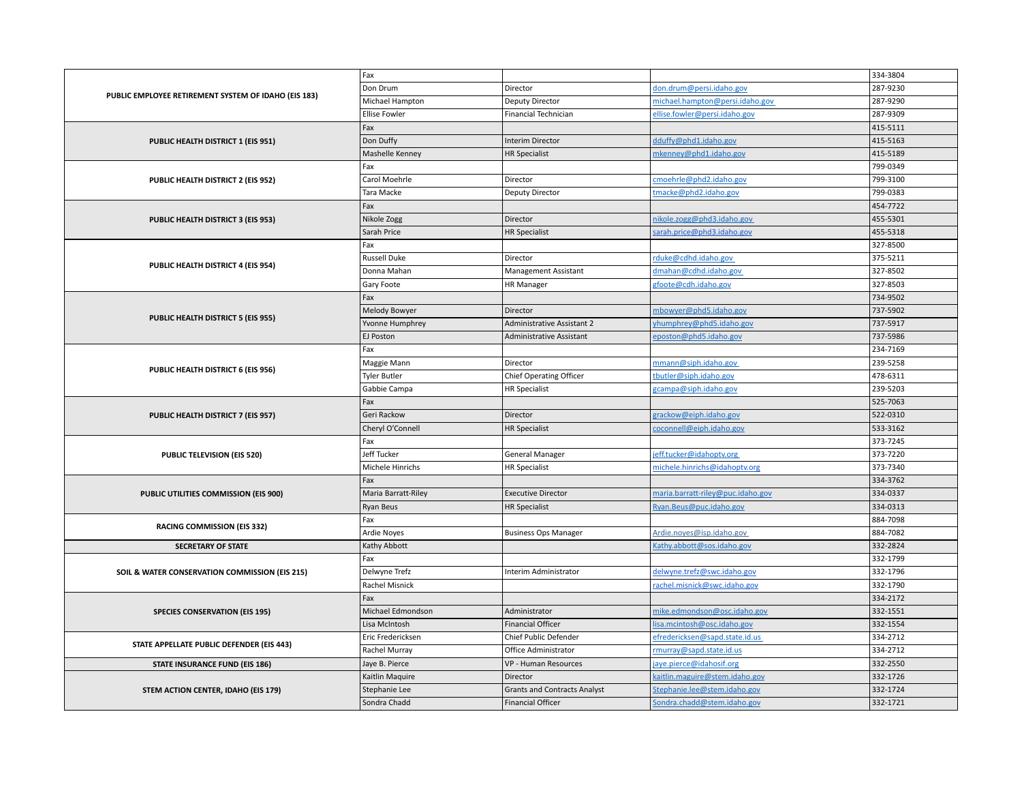|                                                      | Fax                  |                                     |                                   | 334-3804 |
|------------------------------------------------------|----------------------|-------------------------------------|-----------------------------------|----------|
| PUBLIC EMPLOYEE RETIREMENT SYSTEM OF IDAHO (EIS 183) | Don Drum             | Director                            | don.drum@persi.idaho.gov          | 287-9230 |
|                                                      | Michael Hampton      | Deputy Director                     | michael.hampton@persi.idaho.gov   | 287-9290 |
|                                                      | <b>Ellise Fowler</b> | <b>Financial Technician</b>         | ellise.fowler@persi.idaho.gov     | 287-9309 |
|                                                      | Fax                  |                                     |                                   | 415-5111 |
| PUBLIC HEALTH DISTRICT 1 (EIS 951)                   | Don Duffy            | <b>Interim Director</b>             | dduffy@phd1.idaho.gov             | 415-5163 |
|                                                      | Mashelle Kenney      | <b>HR Specialist</b>                | mkenney@phd1.idaho.gov            | 415-5189 |
|                                                      | Fax                  |                                     |                                   | 799-0349 |
| PUBLIC HEALTH DISTRICT 2 (EIS 952)                   | Carol Moehrle        | Director                            | cmoehrle@phd2.idaho.gov           | 799-3100 |
|                                                      | Tara Macke           | Deputy Director                     | tmacke@phd2.idaho.gov             | 799-0383 |
| PUBLIC HEALTH DISTRICT 3 (EIS 953)                   | Fax                  |                                     |                                   | 454-7722 |
|                                                      | Nikole Zogg          | Director                            | nikole.zogg@phd3.idaho.gov        | 455-5301 |
|                                                      | Sarah Price          | <b>HR Specialist</b>                | sarah.price@phd3.idaho.gov        | 455-5318 |
|                                                      | Fax                  |                                     |                                   | 327-8500 |
|                                                      | <b>Russell Duke</b>  | Director                            | rduke@cdhd.idaho.gov              | 375-5211 |
| PUBLIC HEALTH DISTRICT 4 (EIS 954)                   | Donna Mahan          | <b>Management Assistant</b>         | dmahan@cdhd.idaho.gov             | 327-8502 |
|                                                      | Gary Foote           | HR Manager                          | gfoote@cdh.idaho.gov              | 327-8503 |
|                                                      | Fax                  |                                     |                                   | 734-9502 |
|                                                      | Melody Bowyer        | Director                            | mbowyer@phd5.idaho.gov            | 737-5902 |
| PUBLIC HEALTH DISTRICT 5 (EIS 955)                   | Yvonne Humphrey      | <b>Administrative Assistant 2</b>   | yhumphrey@phd5.idaho.gov          | 737-5917 |
|                                                      | EJ Poston            | Administrative Assistant            | eposton@phd5.idaho.gov            | 737-5986 |
|                                                      | Fax                  |                                     |                                   | 234-7169 |
| PUBLIC HEALTH DISTRICT 6 (EIS 956)                   | Maggie Mann          | Director                            | mmann@siph.idaho.gov              | 239-5258 |
|                                                      | <b>Tyler Butler</b>  | Chief Operating Officer             | tbutler@siph.idaho.gov            | 478-6311 |
|                                                      | Gabbie Campa         | <b>HR Specialist</b>                | gcampa@siph.idaho.gov             | 239-5203 |
|                                                      | Fax                  |                                     |                                   | 525-7063 |
| PUBLIC HEALTH DISTRICT 7 (EIS 957)                   | Geri Rackow          | Director                            | grackow@eiph.idaho.gov            | 522-0310 |
|                                                      | Cheryl O'Connell     | <b>HR Specialist</b>                | coconnell@eiph.idaho.gov          | 533-3162 |
|                                                      | Fax                  |                                     |                                   | 373-7245 |
| <b>PUBLIC TELEVISION (EIS 520)</b>                   | Jeff Tucker          | General Manager                     | eff.tucker@idahoptv.org           | 373-7220 |
|                                                      | Michele Hinrichs     | <b>HR Specialist</b>                | michele.hinrichs@idahoptv.org     | 373-7340 |
|                                                      | Fax                  |                                     |                                   | 334-3762 |
| PUBLIC UTILITIES COMMISSION (EIS 900)                | Maria Barratt-Riley  | <b>Executive Director</b>           | maria.barratt-riley@puc.idaho.gov | 334-0337 |
|                                                      | Ryan Beus            | <b>HR Specialist</b>                | Ryan.Beus@puc.idaho.gov           | 334-0313 |
| <b>RACING COMMISSION (EIS 332)</b>                   | Fax                  |                                     |                                   | 884-7098 |
|                                                      | Ardie Noyes          | <b>Business Ops Manager</b>         | Ardie.noyes@isp.idaho.gov         | 884-7082 |
| <b>SECRETARY OF STATE</b>                            | Kathy Abbott         |                                     | Kathy.abbott@sos.idaho.gov        | 332-2824 |
|                                                      | Fax                  |                                     |                                   | 332-1799 |
| SOIL & WATER CONSERVATION COMMISSION (EIS 215)       | Delwyne Trefz        | Interim Administrator               | delwyne.trefz@swc.idaho.gov       | 332-1796 |
|                                                      | Rachel Misnick       |                                     | rachel.misnick@swc.idaho.gov      | 332-1790 |
|                                                      | Fax                  |                                     |                                   | 334-2172 |
| <b>SPECIES CONSERVATION (EIS 195)</b>                | Michael Edmondson    | Administrator                       | mike.edmondson@osc.idaho.gov      | 332-1551 |
|                                                      | Lisa McIntosh        | <b>Financial Officer</b>            | lisa.mcintosh@osc.idaho.gov       | 332-1554 |
| STATE APPELLATE PUBLIC DEFENDER (EIS 443)            | Eric Fredericksen    | Chief Public Defender               | efredericksen@sapd.state.id.us    | 334-2712 |
|                                                      | Rachel Murray        | Office Administrator                | rmurray@sapd.state.id.us          | 334-2712 |
| <b>STATE INSURANCE FUND (EIS 186)</b>                | Jaye B. Pierce       | VP - Human Resources                | jaye.pierce@idahosif.org          | 332-2550 |
|                                                      | Kaitlin Maquire      | Director                            | kaitlin.maguire@stem.idaho.gov    | 332-1726 |
| STEM ACTION CENTER, IDAHO (EIS 179)                  | Stephanie Lee        | <b>Grants and Contracts Analyst</b> | Stephanie.lee@stem.idaho.gov      | 332-1724 |
|                                                      | Sondra Chadd         | <b>Financial Officer</b>            | Sondra.chadd@stem.idaho.gov       | 332-1721 |